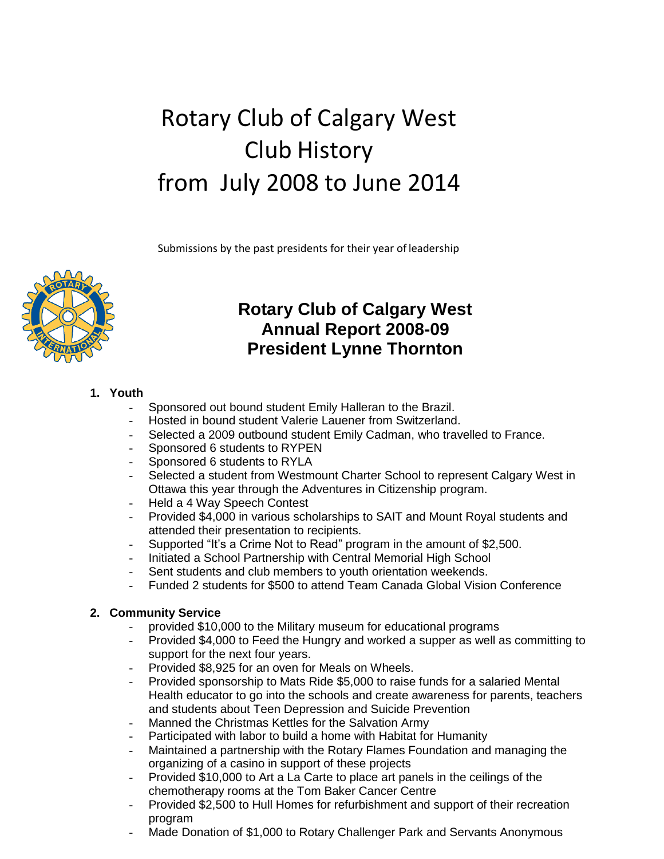# Rotary Club of Calgary West Club History from July 2008 to June 2014

Submissions by the past presidents for their year of leadership



### **Rotary Club of Calgary West Annual Report 2008-09 President Lynne Thornton**

#### **1. Youth**

- Sponsored out bound student Emily Halleran to the Brazil.
- Hosted in bound student Valerie Lauener from Switzerland.
- Selected a 2009 outbound student Emily Cadman, who travelled to France.
- Sponsored 6 students to RYPEN
- Sponsored 6 students to RYLA
- Selected a student from Westmount Charter School to represent Calgary West in Ottawa this year through the Adventures in Citizenship program.
- Held a 4 Way Speech Contest
- Provided \$4,000 in various scholarships to SAIT and Mount Royal students and attended their presentation to recipients.
- Supported "It's a Crime Not to Read" program in the amount of \$2,500.
- Initiated a School Partnership with Central Memorial High School
- Sent students and club members to youth orientation weekends.
- Funded 2 students for \$500 to attend Team Canada Global Vision Conference

#### **2. Community Service**

- provided \$10,000 to the Military museum for educational programs
- Provided \$4,000 to Feed the Hungry and worked a supper as well as committing to support for the next four years.
- Provided \$8,925 for an oven for Meals on Wheels.
- Provided sponsorship to Mats Ride \$5,000 to raise funds for a salaried Mental Health educator to go into the schools and create awareness for parents, teachers and students about Teen Depression and Suicide Prevention
- Manned the Christmas Kettles for the Salvation Army
- Participated with labor to build a home with Habitat for Humanity
- Maintained a partnership with the Rotary Flames Foundation and managing the organizing of a casino in support of these projects
- Provided \$10,000 to Art a La Carte to place art panels in the ceilings of the chemotherapy rooms at the Tom Baker Cancer Centre
- Provided \$2,500 to Hull Homes for refurbishment and support of their recreation program
- Made Donation of \$1,000 to Rotary Challenger Park and Servants Anonymous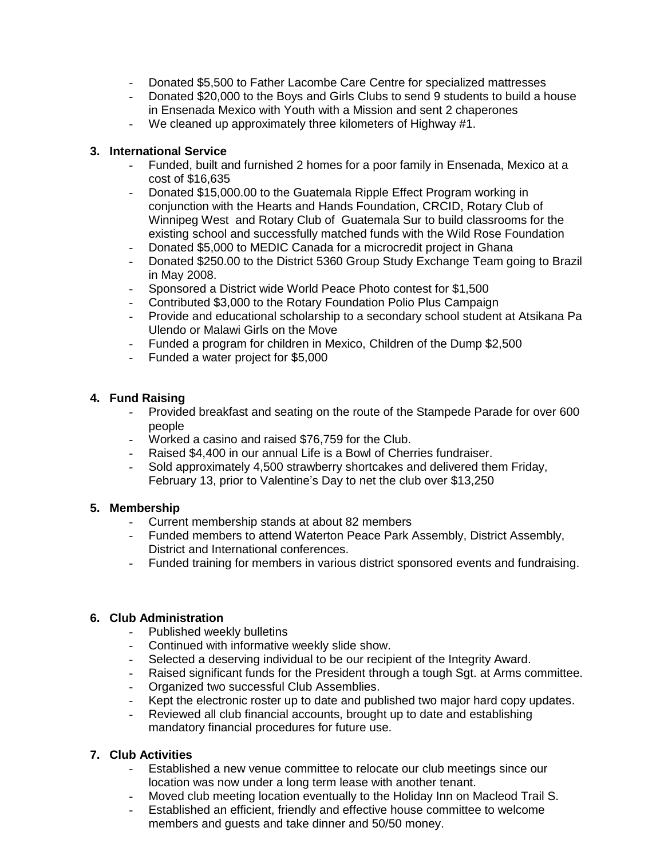- Donated \$5,500 to Father Lacombe Care Centre for specialized mattresses
- Donated \$20,000 to the Boys and Girls Clubs to send 9 students to build a house in Ensenada Mexico with Youth with a Mission and sent 2 chaperones
- We cleaned up approximately three kilometers of Highway #1.

#### **3. International Service**

- Funded, built and furnished 2 homes for a poor family in Ensenada, Mexico at a cost of \$16,635
- Donated \$15,000.00 to the Guatemala Ripple Effect Program working in conjunction with the Hearts and Hands Foundation, CRCID, Rotary Club of Winnipeg West and Rotary Club of Guatemala Sur to build classrooms for the existing school and successfully matched funds with the Wild Rose Foundation
- Donated \$5,000 to MEDIC Canada for a microcredit project in Ghana
- Donated \$250.00 to the District 5360 Group Study Exchange Team going to Brazil in May 2008.
- Sponsored a District wide World Peace Photo contest for \$1,500
- Contributed \$3,000 to the Rotary Foundation Polio Plus Campaign
- Provide and educational scholarship to a secondary school student at Atsikana Pa Ulendo or Malawi Girls on the Move
- Funded a program for children in Mexico, Children of the Dump \$2,500
- Funded a water project for \$5,000

#### **4. Fund Raising**

- Provided breakfast and seating on the route of the Stampede Parade for over 600 people
- Worked a casino and raised \$76,759 for the Club.
- Raised \$4,400 in our annual Life is a Bowl of Cherries fundraiser.
- Sold approximately 4,500 strawberry shortcakes and delivered them Friday, February 13, prior to Valentine's Day to net the club over \$13,250

#### **5. Membership**

- Current membership stands at about 82 members
- Funded members to attend Waterton Peace Park Assembly, District Assembly, District and International conferences.
- Funded training for members in various district sponsored events and fundraising.

#### **6. Club Administration**

- Published weekly bulletins
- Continued with informative weekly slide show.
- Selected a deserving individual to be our recipient of the Integrity Award.
- Raised significant funds for the President through a tough Sgt. at Arms committee.
- Organized two successful Club Assemblies.
- Kept the electronic roster up to date and published two major hard copy updates.
- Reviewed all club financial accounts, brought up to date and establishing mandatory financial procedures for future use.

#### **7. Club Activities**

- Established a new venue committee to relocate our club meetings since our location was now under a long term lease with another tenant.
- Moved club meeting location eventually to the Holiday Inn on Macleod Trail S.
- Established an efficient, friendly and effective house committee to welcome members and guests and take dinner and 50/50 money.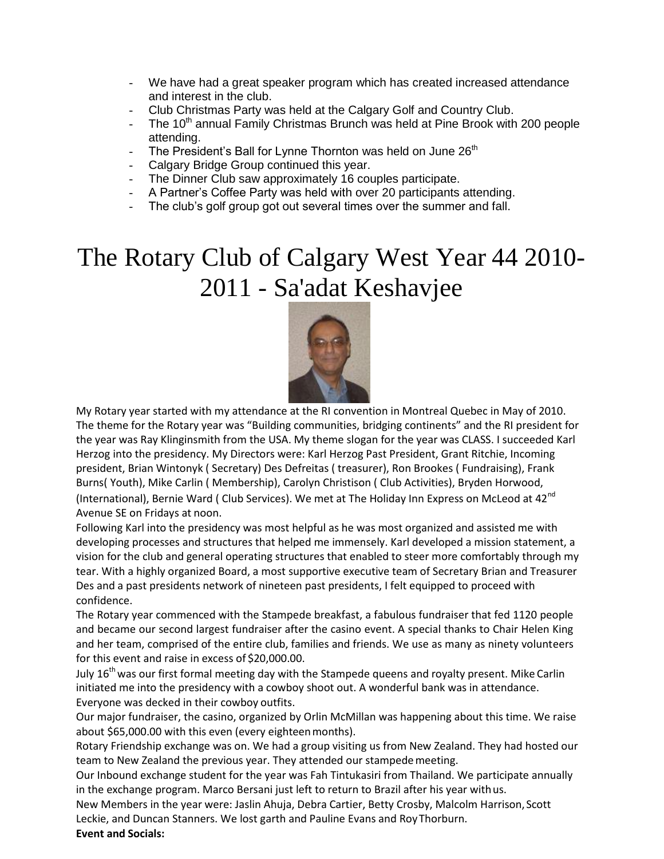- We have had a great speaker program which has created increased attendance and interest in the club.
- Club Christmas Party was held at the Calgary Golf and Country Club.
- The 10<sup>th</sup> annual Family Christmas Brunch was held at Pine Brook with 200 people attending.
- The President's Ball for Lynne Thornton was held on June 26<sup>th</sup>
- Calgary Bridge Group continued this year.
- The Dinner Club saw approximately 16 couples participate.
- A Partner's Coffee Party was held with over 20 participants attending.
- The club's golf group got out several times over the summer and fall.

# The Rotary Club of Calgary West Year 44 2010- 2011 - Sa'adat Keshavjee



My Rotary year started with my attendance at the RI convention in Montreal Quebec in May of 2010. The theme for the Rotary year was "Building communities, bridging continents" and the RI president for the year was Ray Klinginsmith from the USA. My theme slogan for the year was CLASS. I succeeded Karl Herzog into the presidency. My Directors were: Karl Herzog Past President, Grant Ritchie, Incoming president, Brian Wintonyk ( Secretary) Des Defreitas ( treasurer), Ron Brookes ( Fundraising), Frank Burns( Youth), Mike Carlin ( Membership), Carolyn Christison ( Club Activities), Bryden Horwood, (International), Bernie Ward ( Club Services). We met at The Holiday Inn Express on McLeod at 42<sup>nd</sup> Avenue SE on Fridays at noon.

Following Karl into the presidency was most helpful as he was most organized and assisted me with developing processes and structures that helped me immensely. Karl developed a mission statement, a vision for the club and general operating structures that enabled to steer more comfortably through my tear. With a highly organized Board, a most supportive executive team of Secretary Brian and Treasurer Des and a past presidents network of nineteen past presidents, I felt equipped to proceed with confidence.

The Rotary year commenced with the Stampede breakfast, a fabulous fundraiser that fed 1120 people and became our second largest fundraiser after the casino event. A special thanks to Chair Helen King and her team, comprised of the entire club, families and friends. We use as many as ninety volunteers for this event and raise in excess of \$20,000.00.

July  $16<sup>th</sup>$  was our first formal meeting day with the Stampede queens and royalty present. Mike Carlin initiated me into the presidency with a cowboy shoot out. A wonderful bank was in attendance. Everyone was decked in their cowboy outfits.

Our major fundraiser, the casino, organized by Orlin McMillan was happening about this time. We raise about \$65,000.00 with this even (every eighteenmonths).

Rotary Friendship exchange was on. We had a group visiting us from New Zealand. They had hosted our team to New Zealand the previous year. They attended our stampedemeeting.

Our Inbound exchange student for the year was Fah Tintukasiri from Thailand. We participate annually in the exchange program. Marco Bersani just left to return to Brazil after his year withus.

New Members in the year were: Jaslin Ahuja, Debra Cartier, Betty Crosby, Malcolm Harrison, Scott Leckie, and Duncan Stanners. We lost garth and Pauline Evans and RoyThorburn.

**Event and Socials:**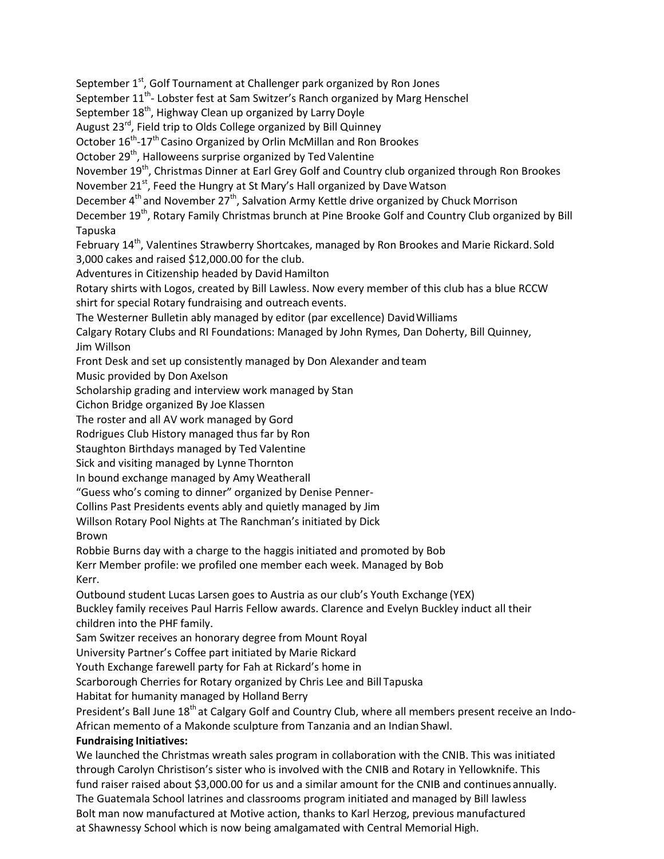September 1<sup>st</sup>, Golf Tournament at Challenger park organized by Ron Jones September 11<sup>th</sup>- Lobster fest at Sam Switzer's Ranch organized by Marg Henschel September 18<sup>th</sup>, Highway Clean up organized by Larry Doyle August 23rd, Field trip to Olds College organized by Bill Quinney October 16<sup>th</sup>-17<sup>th</sup> Casino Organized by Orlin McMillan and Ron Brookes October 29<sup>th</sup>, Halloweens surprise organized by Ted Valentine November 19<sup>th</sup>, Christmas Dinner at Earl Grey Golf and Country club organized through Ron Brookes November 21<sup>st</sup>, Feed the Hungry at St Mary's Hall organized by Dave Watson December 4<sup>th</sup> and November 27<sup>th</sup>, Salvation Army Kettle drive organized by Chuck Morrison December 19<sup>th</sup>, Rotary Family Christmas brunch at Pine Brooke Golf and Country Club organized by Bill Tapuska February 14<sup>th</sup>, Valentines Strawberry Shortcakes, managed by Ron Brookes and Marie Rickard. Sold 3,000 cakes and raised \$12,000.00 for the club. Adventures in Citizenship headed by David Hamilton Rotary shirts with Logos, created by Bill Lawless. Now every member of this club has a blue RCCW shirt for special Rotary fundraising and outreach events. The Westerner Bulletin ably managed by editor (par excellence) DavidWilliams Calgary Rotary Clubs and RI Foundations: Managed by John Rymes, Dan Doherty, Bill Quinney, Jim Willson Front Desk and set up consistently managed by Don Alexander and team Music provided by Don Axelson Scholarship grading and interview work managed by Stan Cichon Bridge organized By Joe Klassen The roster and all AV work managed by Gord Rodrigues Club History managed thus far by Ron Staughton Birthdays managed by Ted Valentine Sick and visiting managed by Lynne Thornton In bound exchange managed by Amy Weatherall "Guess who's coming to dinner" organized by Denise Penner-Collins Past Presidents events ably and quietly managed by Jim Willson Rotary Pool Nights at The Ranchman's initiated by Dick Brown Robbie Burns day with a charge to the haggis initiated and promoted by Bob Kerr Member profile: we profiled one member each week. Managed by Bob Kerr. Outbound student Lucas Larsen goes to Austria as our club's Youth Exchange (YEX) Buckley family receives Paul Harris Fellow awards. Clarence and Evelyn Buckley induct all their children into the PHF family. Sam Switzer receives an honorary degree from Mount Royal University Partner's Coffee part initiated by Marie Rickard Youth Exchange farewell party for Fah at Rickard's home in Scarborough Cherries for Rotary organized by Chris Lee and Bill Tapuska Habitat for humanity managed by Holland Berry President's Ball June 18<sup>th</sup> at Calgary Golf and Country Club, where all members present receive an Indo-African memento of a Makonde sculpture from Tanzania and an Indian Shawl. **Fundraising Initiatives:** We launched the Christmas wreath sales program in collaboration with the CNIB. This was initiated through Carolyn Christison's sister who is involved with the CNIB and Rotary in Yellowknife. This fund raiser raised about \$3,000.00 for us and a similar amount for the CNIB and continues annually. The Guatemala School latrines and classrooms program initiated and managed by Bill lawless Bolt man now manufactured at Motive action, thanks to Karl Herzog, previous manufactured at Shawnessy School which is now being amalgamated with Central Memorial High.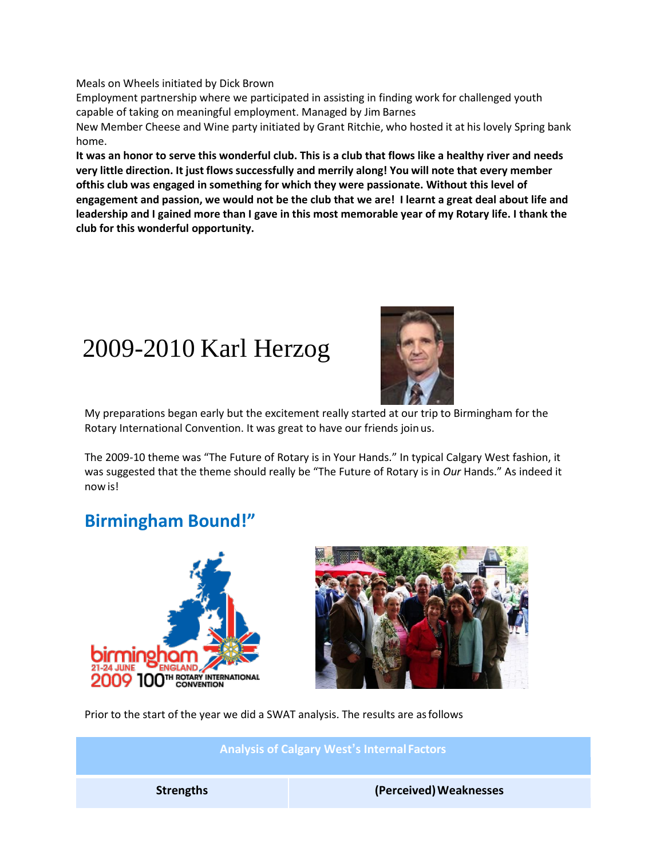Meals on Wheels initiated by Dick Brown

Employment partnership where we participated in assisting in finding work for challenged youth capable of taking on meaningful employment. Managed by Jim Barnes

New Member Cheese and Wine party initiated by Grant Ritchie, who hosted it at his lovely Spring bank home.

**It was an honor to serve this wonderful club. This is a club that flows like a healthy river and needs very little direction. It just flows successfully and merrily along! You will note that every member ofthis club was engaged in something for which they were passionate. Without this level of engagement and passion, we would not be the club that we are! I learnt a great deal about life and leadership and I gained more than I gave in this most memorable year of my Rotary life. I thank the club for this wonderful opportunity.**

### 2009-2010 Karl Herzog



My preparations began early but the excitement really started at our trip to Birmingham for the Rotary International Convention. It was great to have our friends joinus.

The 2009-10 theme was "The Future of Rotary is in Your Hands." In typical Calgary West fashion, it was suggested that the theme should really be "The Future of Rotary is in *Our* Hands." As indeed it now is!

### **Birmingham Bound!"**





Prior to the start of the year we did a SWAT analysis. The results are asfollows

**Analysis of Calgary West's Internal Factors Strengths (Perceived)Weaknesses**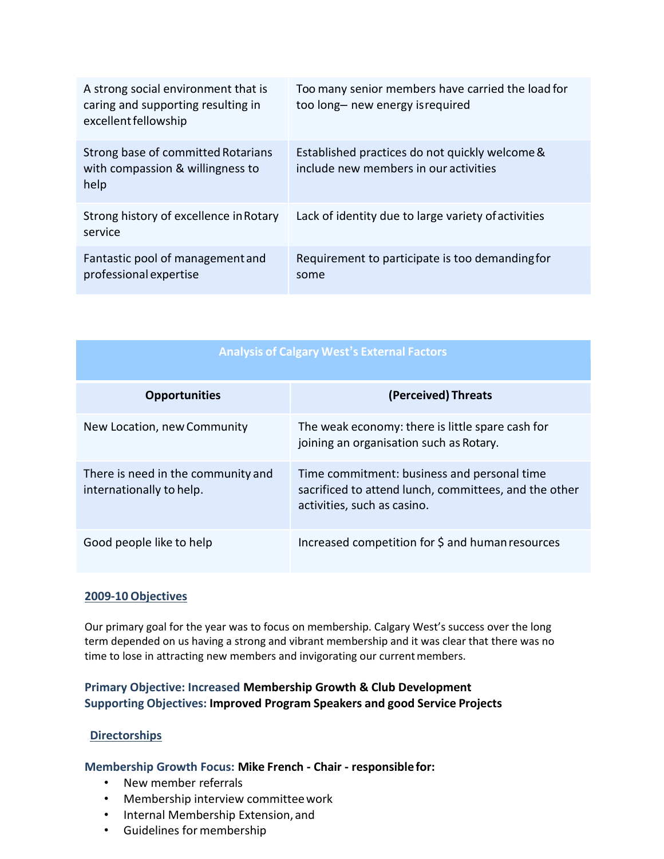| A strong social environment that is<br>caring and supporting resulting in<br>excellent fellowship | Too many senior members have carried the load for<br>too long- new energy is required   |
|---------------------------------------------------------------------------------------------------|-----------------------------------------------------------------------------------------|
| Strong base of committed Rotarians<br>with compassion & willingness to<br>help                    | Established practices do not quickly welcome &<br>include new members in our activities |
| Strong history of excellence in Rotary<br>service                                                 | Lack of identity due to large variety of activities                                     |
| Fantastic pool of management and<br>professional expertise                                        | Requirement to participate is too demanding for<br>some                                 |

| <b>Analysis of Calgary West's External Factors</b>             |                                                                                                                                     |  |
|----------------------------------------------------------------|-------------------------------------------------------------------------------------------------------------------------------------|--|
| <b>Opportunities</b>                                           | (Perceived) Threats                                                                                                                 |  |
| New Location, new Community                                    | The weak economy: there is little spare cash for<br>joining an organisation such as Rotary.                                         |  |
| There is need in the community and<br>internationally to help. | Time commitment: business and personal time<br>sacrificed to attend lunch, committees, and the other<br>activities, such as casino. |  |
| Good people like to help                                       | Increased competition for \$ and human resources                                                                                    |  |

#### **2009-10 Objectives**

Our primary goal for the year was to focus on membership. Calgary West's success over the long term depended on us having a strong and vibrant membership and it was clear that there was no time to lose in attracting new members and invigorating our current members.

#### **Primary Objective: Increased Membership Growth & Club Development Supporting Objectives: Improved Program Speakers and good Service Projects**

#### **Directorships**

#### **Membership Growth Focus: Mike French - Chair - responsiblefor:**

- New member referrals
- Membership interview committeework
- Internal Membership Extension, and
- Guidelines formembership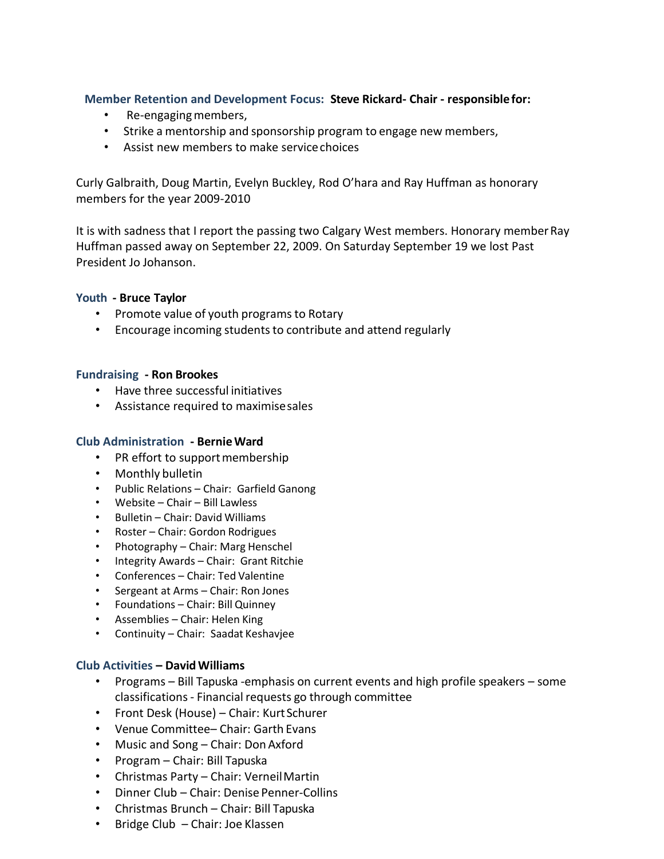#### **Member Retention and Development Focus: Steve Rickard- Chair - responsiblefor:**

- Re-engaging members,
- Strike a mentorship and sponsorship program to engage new members,
- Assist new members to make service choices

Curly Galbraith, Doug Martin, Evelyn Buckley, Rod O'hara and Ray Huffman as honorary members for the year 2009-2010

It is with sadness that I report the passing two Calgary West members. Honorary memberRay Huffman passed away on September 22, 2009. On Saturday September 19 we lost Past President Jo Johanson.

#### **Youth - Bruce Taylor**

- Promote value of youth programs to Rotary
- Encourage incoming students to contribute and attend regularly

#### **Fundraising - Ron Brookes**

- Have three successful initiatives
- Assistance required to maximisesales

#### **Club Administration - BernieWard**

- PR effort to support membership
- Monthly bulletin
- Public Relations Chair: Garfield Ganong
- Website Chair Bill Lawless
- Bulletin Chair: David Williams
- Roster Chair: Gordon Rodrigues
- Photography Chair: Marg Henschel
- Integrity Awards Chair: Grant Ritchie
- Conferences Chair: Ted Valentine
- Sergeant at Arms Chair: Ron Jones
- Foundations Chair: Bill Quinney
- Assemblies Chair: Helen King
- Continuity Chair: Saadat Keshavjee

#### **Club Activities – DavidWilliams**

- Programs Bill Tapuska -emphasis on current events and high profile speakers some classifications- Financial requests go through committee
- Front Desk (House) Chair: KurtSchurer
- Venue Committee– Chair: Garth Evans
- Music and Song Chair: Don Axford
- Program Chair: Bill Tapuska
- Christmas Party Chair: VerneilMartin
- Dinner Club Chair: Denise Penner-Collins
- Christmas Brunch Chair: Bill Tapuska
- Bridge Club Chair: Joe Klassen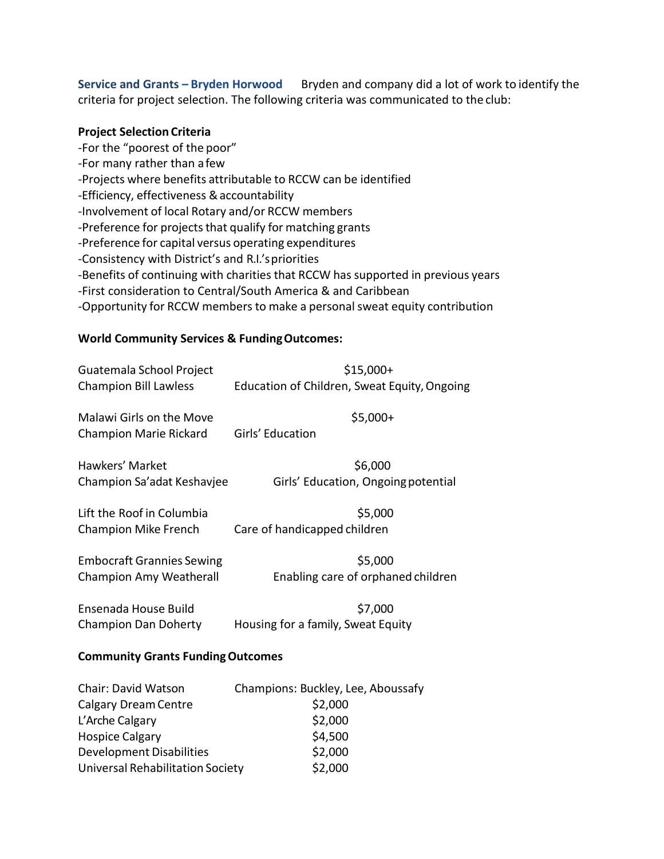**Service and Grants – Bryden Horwood** Bryden and company did a lot of work to identify the criteria for project selection. The following criteria was communicated to the club:

#### **Project Selection Criteria**

-For the "poorest of the poor" -For many rather than afew -Projects where benefits attributable to RCCW can be identified -Efficiency, effectiveness &accountability -Involvement of local Rotary and/or RCCW members -Preference for projects that qualify for matching grants -Preference for capital versus operating expenditures -Consistency with District's and R.I.'spriorities -Benefits of continuing with charities that RCCW has supported in previous years -First consideration to Central/South America & and Caribbean -Opportunity for RCCW members to make a personal sweat equity contribution

#### **World Community Services & FundingOutcomes:**

| Guatemala School Project                                  | $$15,000+$                                                     |  |
|-----------------------------------------------------------|----------------------------------------------------------------|--|
| <b>Champion Bill Lawless</b>                              | Education of Children, Sweat Equity, Ongoing                   |  |
| Malawi Girls on the Move                                  | $$5,000+$                                                      |  |
| Champion Marie Rickard                                    | Girls' Education                                               |  |
| Hawkers' Market                                           | \$6,000                                                        |  |
| Champion Sa'adat Keshavjee                                | Girls' Education, Ongoing potential                            |  |
| Lift the Roof in Columbia                                 | \$5,000                                                        |  |
| <b>Champion Mike French</b>                               | Care of handicapped children                                   |  |
| <b>Embocraft Grannies Sewing</b>                          | \$5,000                                                        |  |
| Champion Amy Weatherall                                   | Enabling care of orphaned children                             |  |
| Ensenada House Build                                      | \$7,000                                                        |  |
| Champion Dan Doherty                                      | Housing for a family, Sweat Equity                             |  |
| <b>Community Grants Funding Outcomes</b>                  |                                                                |  |
| <b>Chair: David Watson</b><br><b>Calgary Dream Centre</b> | Champions: Buckley, Lee, Aboussafy<br>\$2,000<br>$\sim$ $\sim$ |  |

| Chair. David Watson              | Champions. Dackiew, Lee, Abouss |
|----------------------------------|---------------------------------|
| <b>Calgary Dream Centre</b>      | \$2,000                         |
| L'Arche Calgary                  | \$2,000                         |
| <b>Hospice Calgary</b>           | \$4,500                         |
| <b>Development Disabilities</b>  | \$2,000                         |
| Universal Rehabilitation Society | \$2,000                         |
|                                  |                                 |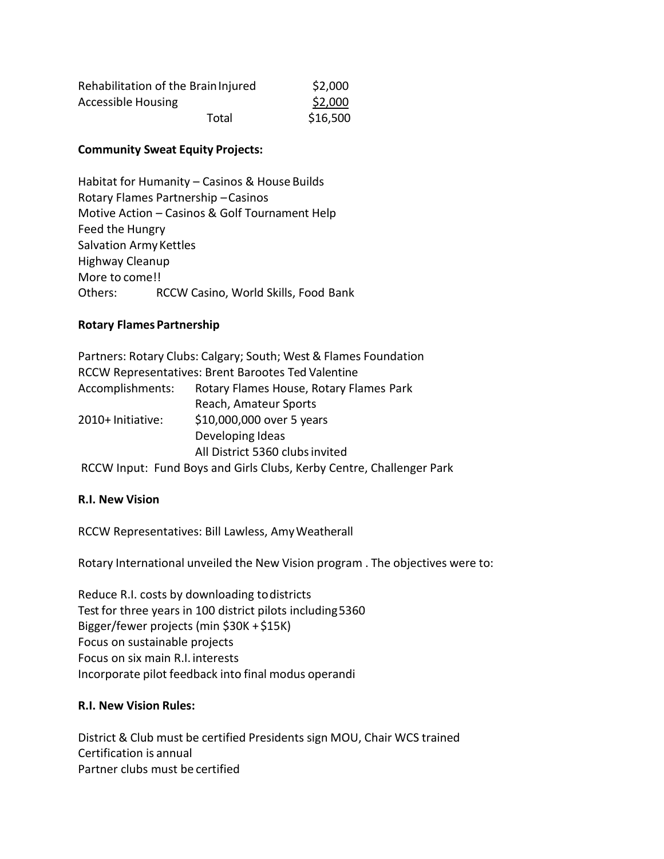| Rehabilitation of the Brain Injured | \$2,000  |
|-------------------------------------|----------|
| <b>Accessible Housing</b>           | \$2,000  |
| Total                               | \$16,500 |

#### **Community Sweat Equity Projects:**

Habitat for Humanity – Casinos & House Builds Rotary Flames Partnership –Casinos Motive Action – Casinos & Golf Tournament Help Feed the Hungry Salvation Army Kettles Highway Cleanup More to come!! Others: RCCW Casino, World Skills, Food Bank

#### **Rotary Flames Partnership**

Partners: Rotary Clubs: Calgary; South; West & Flames Foundation RCCW Representatives: Brent Barootes Ted Valentine Accomplishments: Rotary Flames House, Rotary Flames Park Reach, Amateur Sports 2010+ Initiative: \$10,000,000 over 5 years Developing Ideas All District 5360 clubsinvited RCCW Input: Fund Boys and Girls Clubs, Kerby Centre, Challenger Park

#### **R.I. New Vision**

RCCW Representatives: Bill Lawless, AmyWeatherall

Rotary International unveiled the New Vision program . The objectives were to:

Reduce R.I. costs by downloading todistricts Test for three years in 100 district pilots including5360 Bigger/fewer projects (min \$30K +\$15K) Focus on sustainable projects Focus on six main R.I. interests Incorporate pilot feedback into final modus operandi

#### **R.I. New Vision Rules:**

District & Club must be certified Presidents sign MOU, Chair WCS trained Certification is annual Partner clubs must be certified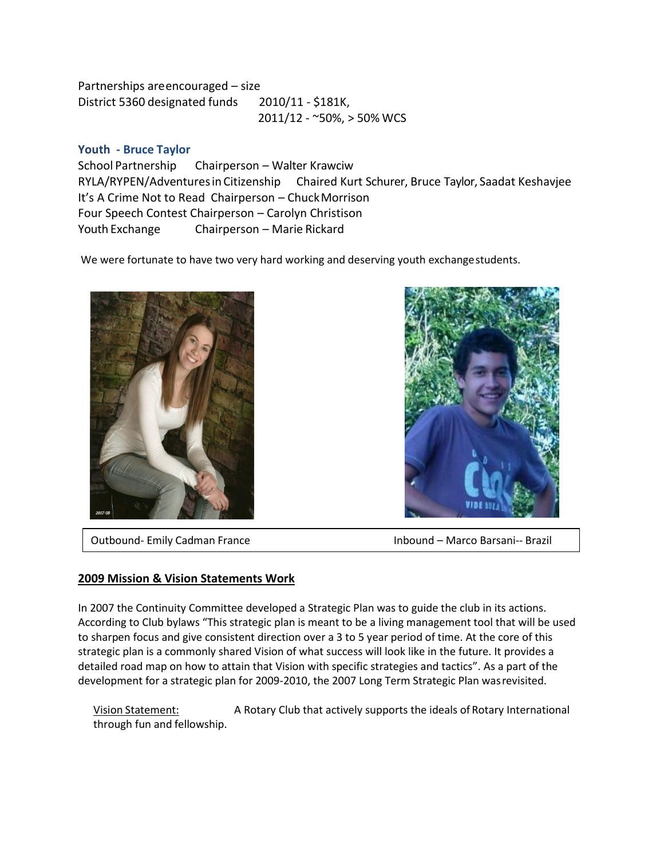Partnerships areencouraged – size District 5360 designated funds 2010/11 - \$181K, 2011/12 - ~50%, > 50% WCS

#### **Youth - Bruce Taylor**

School Partnership Chairperson – Walter Krawciw RYLA/RYPEN/Adventuresin Citizenship Chaired Kurt Schurer, Bruce Taylor, Saadat Keshavjee It's A Crime Not to Read Chairperson – ChuckMorrison Four Speech Contest Chairperson – Carolyn Christison Youth Exchange Chairperson – Marie Rickard

We were fortunate to have two very hard working and deserving youth exchangestudents.





Outbound- Emily Cadman France Inbound – Marco Barsani-- Brazil

#### **2009 Mission & Vision Statements Work**

In 2007 the Continuity Committee developed a Strategic Plan was to guide the club in its actions. According to Club bylaws "This strategic plan is meant to be a living management tool that will be used to sharpen focus and give consistent direction over a 3 to 5 year period of time. At the core of this strategic plan is a commonly shared Vision of what success will look like in the future. It provides a detailed road map on how to attain that Vision with specific strategies and tactics". As a part of the development for a strategic plan for 2009-2010, the 2007 Long Term Strategic Plan wasrevisited.

Vision Statement: A Rotary Club that actively supports the ideals of Rotary International through fun and fellowship.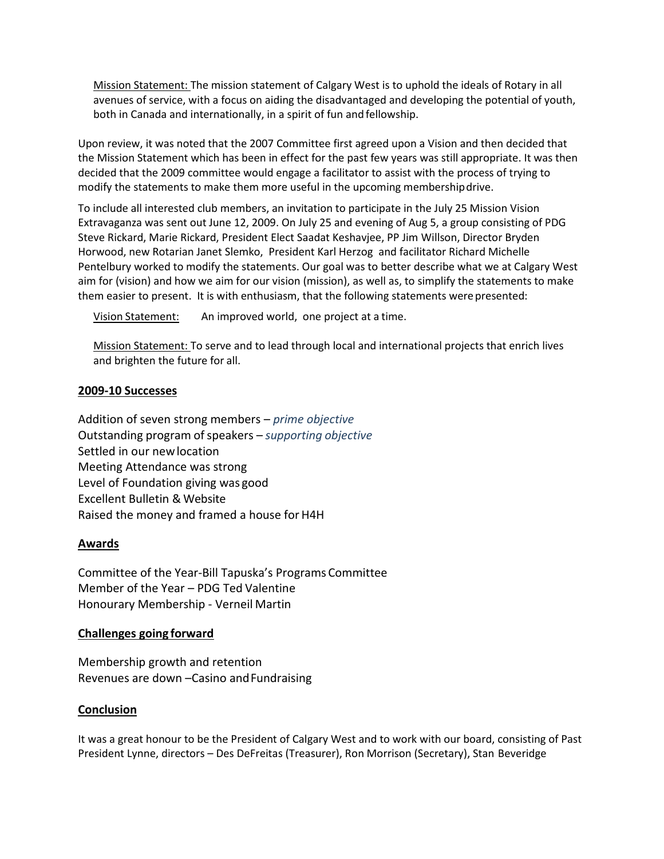Mission Statement: The mission statement of Calgary West is to uphold the ideals of Rotary in all avenues of service, with a focus on aiding the disadvantaged and developing the potential of youth, both in Canada and internationally, in a spirit of fun and fellowship.

Upon review, it was noted that the 2007 Committee first agreed upon a Vision and then decided that the Mission Statement which has been in effect for the past few years was still appropriate. It was then decided that the 2009 committee would engage a facilitator to assist with the process of trying to modify the statements to make them more useful in the upcoming membershipdrive.

To include all interested club members, an invitation to participate in the July 25 Mission Vision Extravaganza was sent out June 12, 2009. On July 25 and evening of Aug 5, a group consisting of PDG Steve Rickard, Marie Rickard, President Elect Saadat Keshavjee, PP Jim Willson, Director Bryden Horwood, new Rotarian Janet Slemko, President Karl Herzog and facilitator Richard Michelle Pentelbury worked to modify the statements. Our goal was to better describe what we at Calgary West aim for (vision) and how we aim for our vision (mission), as well as, to simplify the statements to make them easier to present. It is with enthusiasm, that the following statements were presented:

Vision Statement: An improved world, one project at a time.

Mission Statement: To serve and to lead through local and international projects that enrich lives and brighten the future for all.

#### **2009-10 Successes**

Addition of seven strong members – *prime objective*  Outstanding program ofspeakers – *supporting objective*  Settled in our newlocation Meeting Attendance was strong Level of Foundation giving was good Excellent Bulletin & Website Raised the money and framed a house for H4H

#### **Awards**

Committee of the Year-Bill Tapuska's Programs Committee Member of the Year – PDG Ted Valentine Honourary Membership - Verneil Martin

#### **Challenges going forward**

Membership growth and retention Revenues are down –Casino andFundraising

#### **Conclusion**

It was a great honour to be the President of Calgary West and to work with our board, consisting of Past President Lynne, directors – Des DeFreitas (Treasurer), Ron Morrison (Secretary), Stan Beveridge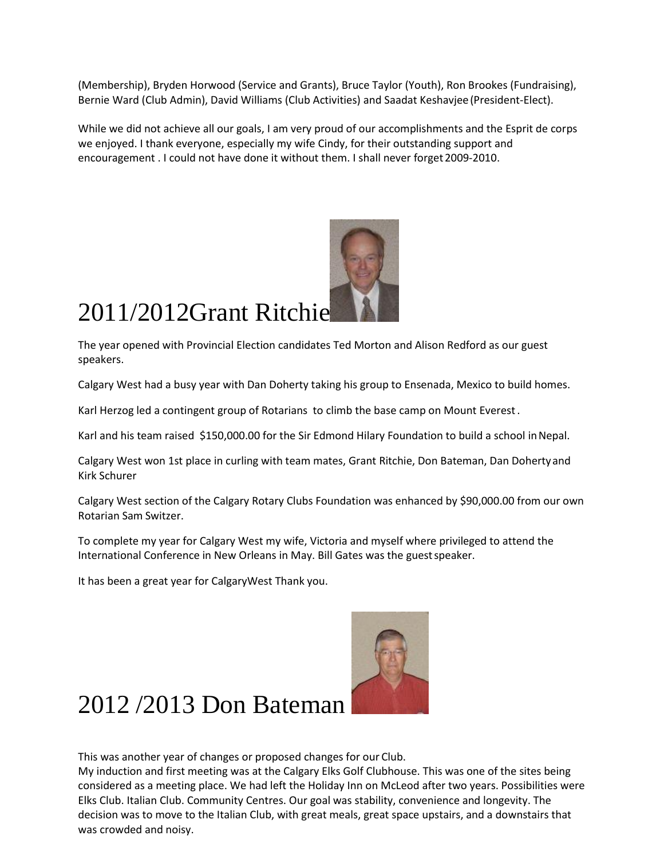(Membership), Bryden Horwood (Service and Grants), Bruce Taylor (Youth), Ron Brookes (Fundraising), Bernie Ward (Club Admin), David Williams (Club Activities) and Saadat Keshavjee(President-Elect).

While we did not achieve all our goals, I am very proud of our accomplishments and the Esprit de corps we enjoyed. I thank everyone, especially my wife Cindy, for their outstanding support and encouragement . I could not have done it without them. I shall never forget 2009-2010.



# 2011/2012Grant Ritchie

The year opened with Provincial Election candidates Ted Morton and Alison Redford as our guest speakers.

Calgary West had a busy year with Dan Doherty taking his group to Ensenada, Mexico to build homes.

Karl Herzog led a contingent group of Rotarians to climb the base camp on Mount Everest.

Karl and his team raised \$150,000.00 for the Sir Edmond Hilary Foundation to build a school in Nepal.

Calgary West won 1st place in curling with team mates, Grant Ritchie, Don Bateman, Dan Dohertyand Kirk Schurer

Calgary West section of the Calgary Rotary Clubs Foundation was enhanced by \$90,000.00 from our own Rotarian Sam Switzer.

To complete my year for Calgary West my wife, Victoria and myself where privileged to attend the International Conference in New Orleans in May. Bill Gates was the guest speaker.

It has been a great year for CalgaryWest Thank you.



### 2012 /2013 Don Bateman

This was another year of changes or proposed changes for our Club.

My induction and first meeting was at the Calgary Elks Golf Clubhouse. This was one of the sites being considered as a meeting place. We had left the Holiday Inn on McLeod after two years. Possibilities were Elks Club. Italian Club. Community Centres. Our goal was stability, convenience and longevity. The decision was to move to the Italian Club, with great meals, great space upstairs, and a downstairs that was crowded and noisy.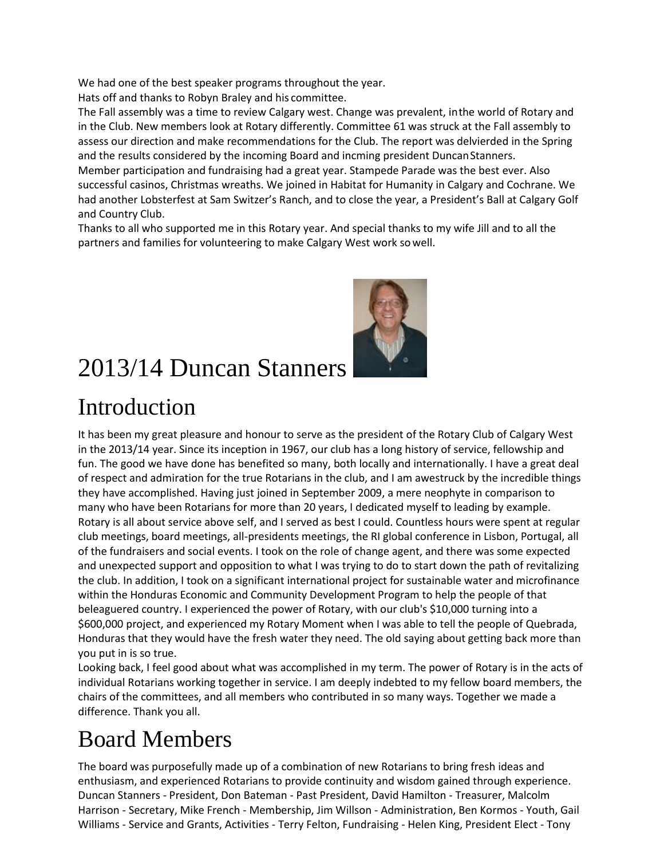We had one of the best speaker programs throughout the year.

Hats off and thanks to Robyn Braley and his committee.

The Fall assembly was a time to review Calgary west. Change was prevalent, inthe world of Rotary and in the Club. New members look at Rotary differently. Committee 61 was struck at the Fall assembly to assess our direction and make recommendations for the Club. The report was delvierded in the Spring and the results considered by the incoming Board and incming president DuncanStanners.

Member participation and fundraising had a great year. Stampede Parade was the best ever. Also successful casinos, Christmas wreaths. We joined in Habitat for Humanity in Calgary and Cochrane. We had another Lobsterfest at Sam Switzer's Ranch, and to close the year, a President's Ball at Calgary Golf and Country Club.

Thanks to all who supported me in this Rotary year. And special thanks to my wife Jill and to all the partners and families for volunteering to make Calgary West work sowell.



# 2013/14 Duncan Stanners

### Introduction

It has been my great pleasure and honour to serve as the president of the Rotary Club of Calgary West in the 2013/14 year. Since its inception in 1967, our club has a long history of service, fellowship and fun. The good we have done has benefited so many, both locally and internationally. I have a great deal of respect and admiration for the true Rotarians in the club, and I am awestruck by the incredible things they have accomplished. Having just joined in September 2009, a mere neophyte in comparison to many who have been Rotarians for more than 20 years, I dedicated myself to leading by example. Rotary is all about service above self, and I served as best I could. Countless hours were spent at regular club meetings, board meetings, all-presidents meetings, the RI global conference in Lisbon, Portugal, all of the fundraisers and social events. I took on the role of change agent, and there was some expected and unexpected support and opposition to what I was trying to do to start down the path of revitalizing the club. In addition, I took on a significant international project for sustainable water and microfinance within the Honduras Economic and Community Development Program to help the people of that beleaguered country. I experienced the power of Rotary, with our club's \$10,000 turning into a \$600,000 project, and experienced my Rotary Moment when I was able to tell the people of Quebrada, Honduras that they would have the fresh water they need. The old saying about getting back more than you put in is so true.

Looking back, I feel good about what was accomplished in my term. The power of Rotary is in the acts of individual Rotarians working together in service. I am deeply indebted to my fellow board members, the chairs of the committees, and all members who contributed in so many ways. Together we made a difference. Thank you all.

### Board Members

The board was purposefully made up of a combination of new Rotarians to bring fresh ideas and enthusiasm, and experienced Rotarians to provide continuity and wisdom gained through experience. Duncan Stanners - President, Don Bateman - Past President, David Hamilton - Treasurer, Malcolm Harrison - Secretary, Mike French - Membership, Jim Willson - Administration, Ben Kormos - Youth, Gail Williams - Service and Grants, Activities - Terry Felton, Fundraising - Helen King, President Elect - Tony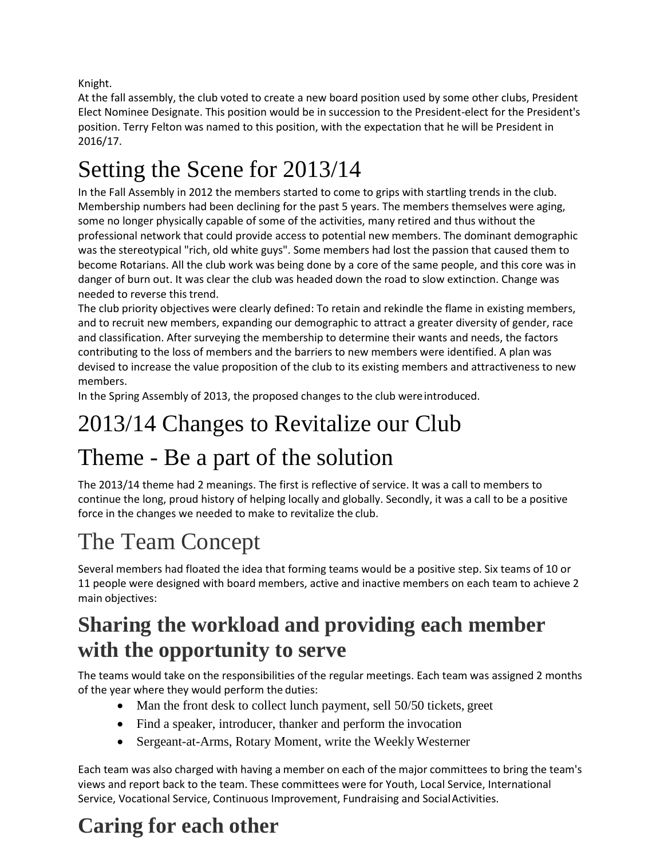Knight.

At the fall assembly, the club voted to create a new board position used by some other clubs, President Elect Nominee Designate. This position would be in succession to the President-elect for the President's position. Terry Felton was named to this position, with the expectation that he will be President in 2016/17.

# Setting the Scene for 2013/14

In the Fall Assembly in 2012 the members started to come to grips with startling trends in the club. Membership numbers had been declining for the past 5 years. The members themselves were aging, some no longer physically capable of some of the activities, many retired and thus without the professional network that could provide access to potential new members. The dominant demographic was the stereotypical "rich, old white guys". Some members had lost the passion that caused them to become Rotarians. All the club work was being done by a core of the same people, and this core was in danger of burn out. It was clear the club was headed down the road to slow extinction. Change was needed to reverse this trend.

The club priority objectives were clearly defined: To retain and rekindle the flame in existing members, and to recruit new members, expanding our demographic to attract a greater diversity of gender, race and classification. After surveying the membership to determine their wants and needs, the factors contributing to the loss of members and the barriers to new members were identified. A plan was devised to increase the value proposition of the club to its existing members and attractiveness to new members.

In the Spring Assembly of 2013, the proposed changes to the club wereintroduced.

# 2013/14 Changes to Revitalize our Club

### Theme - Be a part of the solution

The 2013/14 theme had 2 meanings. The first is reflective of service. It was a call to members to continue the long, proud history of helping locally and globally. Secondly, it was a call to be a positive force in the changes we needed to make to revitalize the club.

# The Team Concept

Several members had floated the idea that forming teams would be a positive step. Six teams of 10 or 11 people were designed with board members, active and inactive members on each team to achieve 2 main objectives:

### **Sharing the workload and providing each member with the opportunity to serve**

The teams would take on the responsibilities of the regular meetings. Each team was assigned 2 months of the year where they would perform the duties:

- Man the front desk to collect lunch payment, sell 50/50 tickets, greet
- Find a speaker, introducer, thanker and perform the invocation
- Sergeant-at-Arms, Rotary Moment, write the Weekly Westerner

Each team was also charged with having a member on each of the major committees to bring the team's views and report back to the team. These committees were for Youth, Local Service, International Service, Vocational Service, Continuous Improvement, Fundraising and Social Activities.

### **Caring for each other**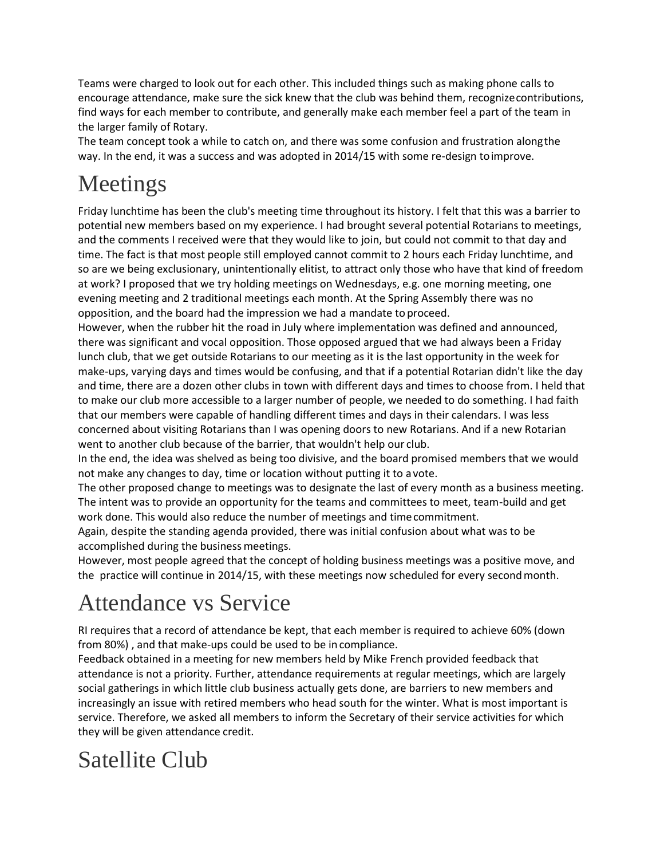Teams were charged to look out for each other. This included things such as making phone calls to encourage attendance, make sure the sick knew that the club was behind them, recognizecontributions, find ways for each member to contribute, and generally make each member feel a part of the team in the larger family of Rotary.

The team concept took a while to catch on, and there was some confusion and frustration alongthe way. In the end, it was a success and was adopted in 2014/15 with some re-design toimprove.

# Meetings

Friday lunchtime has been the club's meeting time throughout its history. I felt that this was a barrier to potential new members based on my experience. I had brought several potential Rotarians to meetings, and the comments I received were that they would like to join, but could not commit to that day and time. The fact is that most people still employed cannot commit to 2 hours each Friday lunchtime, and so are we being exclusionary, unintentionally elitist, to attract only those who have that kind of freedom at work? I proposed that we try holding meetings on Wednesdays, e.g. one morning meeting, one evening meeting and 2 traditional meetings each month. At the Spring Assembly there was no opposition, and the board had the impression we had a mandate to proceed.

However, when the rubber hit the road in July where implementation was defined and announced, there was significant and vocal opposition. Those opposed argued that we had always been a Friday lunch club, that we get outside Rotarians to our meeting as it is the last opportunity in the week for make-ups, varying days and times would be confusing, and that if a potential Rotarian didn't like the day and time, there are a dozen other clubs in town with different days and times to choose from. I held that to make our club more accessible to a larger number of people, we needed to do something. I had faith that our members were capable of handling different times and days in their calendars. I was less concerned about visiting Rotarians than I was opening doors to new Rotarians. And if a new Rotarian went to another club because of the barrier, that wouldn't help our club.

In the end, the idea was shelved as being too divisive, and the board promised members that we would not make any changes to day, time or location without putting it to a vote.

The other proposed change to meetings was to designate the last of every month as a business meeting. The intent was to provide an opportunity for the teams and committees to meet, team-build and get work done. This would also reduce the number of meetings and timecommitment.

Again, despite the standing agenda provided, there was initial confusion about what was to be accomplished during the business meetings.

However, most people agreed that the concept of holding business meetings was a positive move, and the practice will continue in 2014/15, with these meetings now scheduled for every second month.

### Attendance vs Service

RI requires that a record of attendance be kept, that each member is required to achieve 60% (down from 80%) , and that make-ups could be used to be in compliance.

Feedback obtained in a meeting for new members held by Mike French provided feedback that attendance is not a priority. Further, attendance requirements at regular meetings, which are largely social gatherings in which little club business actually gets done, are barriers to new members and increasingly an issue with retired members who head south for the winter. What is most important is service. Therefore, we asked all members to inform the Secretary of their service activities for which they will be given attendance credit.

### Satellite Club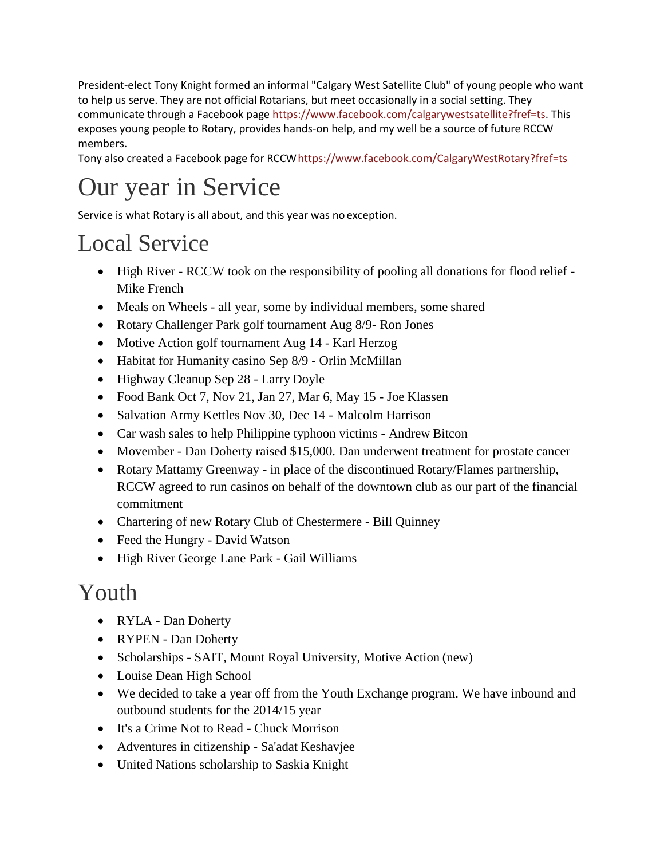President-elect Tony Knight formed an informal "Calgary West Satellite Club" of young people who want to help us serve. They are not official Rotarians, but meet occasionally in a social setting. They communicate through a Facebook page [https://www.facebook.com/calgarywestsatellite?fref=ts.](https://www.facebook.com/calgarywestsatellite?fref=ts) This exposes young people to Rotary, provides hands-on help, and my well be a source of future RCCW members.

Tony also created a Facebook page for RCC[Whttps://www.facebook.com/CalgaryWestRotary?fref=ts](https://www.facebook.com/CalgaryWestRotary?fref=ts)

# Our year in Service

Service is what Rotary is all about, and this year was no exception.

# Local Service

- High River RCCW took on the responsibility of pooling all donations for flood relief -Mike French
- Meals on Wheels all year, some by individual members, some shared
- Rotary Challenger Park golf tournament Aug 8/9- Ron Jones
- Motive Action golf tournament Aug 14 Karl Herzog
- Habitat for Humanity casino Sep 8/9 Orlin McMillan
- Highway Cleanup Sep 28 Larry Doyle
- Food Bank Oct 7, Nov 21, Jan 27, Mar 6, May 15 Joe Klassen
- Salvation Army Kettles Nov 30, Dec 14 Malcolm Harrison
- Car wash sales to help Philippine typhoon victims Andrew Bitcon
- Movember Dan Doherty raised \$15,000. Dan underwent treatment for prostate cancer
- Rotary Mattamy Greenway in place of the discontinued Rotary/Flames partnership, RCCW agreed to run casinos on behalf of the downtown club as our part of the financial commitment
- Chartering of new Rotary Club of Chestermere Bill Quinney
- Feed the Hungry David Watson
- High River George Lane Park Gail Williams

# Youth

- RYLA Dan Doherty
- RYPEN Dan Doherty
- Scholarships SAIT, Mount Royal University, Motive Action (new)
- Louise Dean High School
- We decided to take a year off from the Youth Exchange program. We have inbound and outbound students for the 2014/15 year
- It's a Crime Not to Read Chuck Morrison
- Adventures in citizenship Sa'adat Keshavjee
- United Nations scholarship to Saskia Knight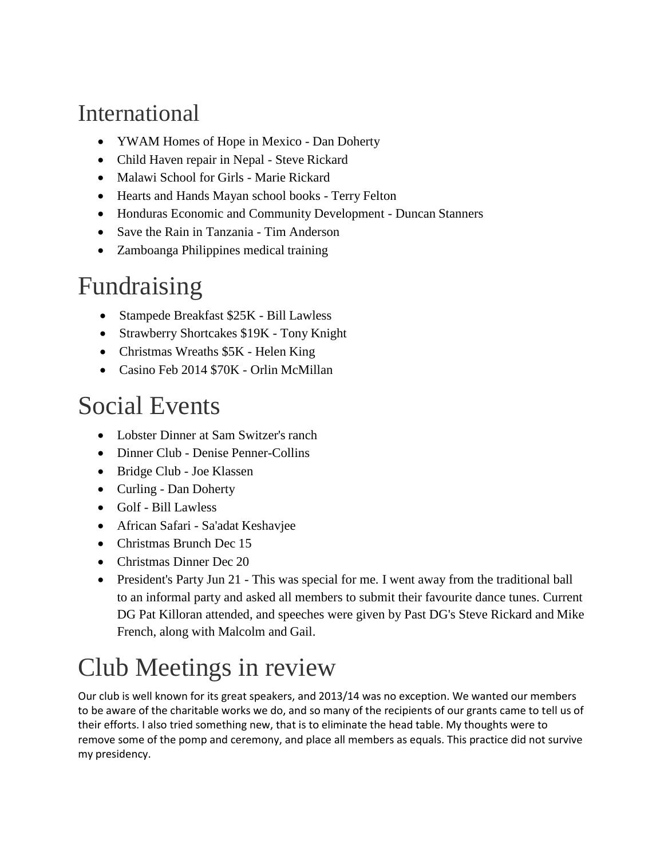### International

- YWAM Homes of Hope in Mexico Dan Doherty
- Child Haven repair in Nepal Steve Rickard
- Malawi School for Girls Marie Rickard
- Hearts and Hands Mayan school books Terry Felton
- Honduras Economic and Community Development Duncan Stanners
- Save the Rain in Tanzania Tim Anderson
- Zamboanga Philippines medical training

# Fundraising

- Stampede Breakfast \$25K Bill Lawless
- Strawberry Shortcakes \$19K Tony Knight
- Christmas Wreaths \$5K Helen King
- Casino Feb 2014 \$70K Orlin McMillan

### Social Events

- Lobster Dinner at Sam Switzer's ranch
- Dinner Club Denise Penner-Collins
- Bridge Club Joe Klassen
- Curling Dan Doherty
- Golf Bill Lawless
- African Safari Sa'adat Keshavjee
- Christmas Brunch Dec 15
- Christmas Dinner Dec 20
- President's Party Jun 21 This was special for me. I went away from the traditional ball to an informal party and asked all members to submit their favourite dance tunes. Current DG Pat Killoran attended, and speeches were given by Past DG's Steve Rickard and Mike French, along with Malcolm and Gail.

# Club Meetings in review

Our club is well known for its great speakers, and 2013/14 was no exception. We wanted our members to be aware of the charitable works we do, and so many of the recipients of our grants came to tell us of their efforts. I also tried something new, that is to eliminate the head table. My thoughts were to remove some of the pomp and ceremony, and place all members as equals. This practice did not survive my presidency.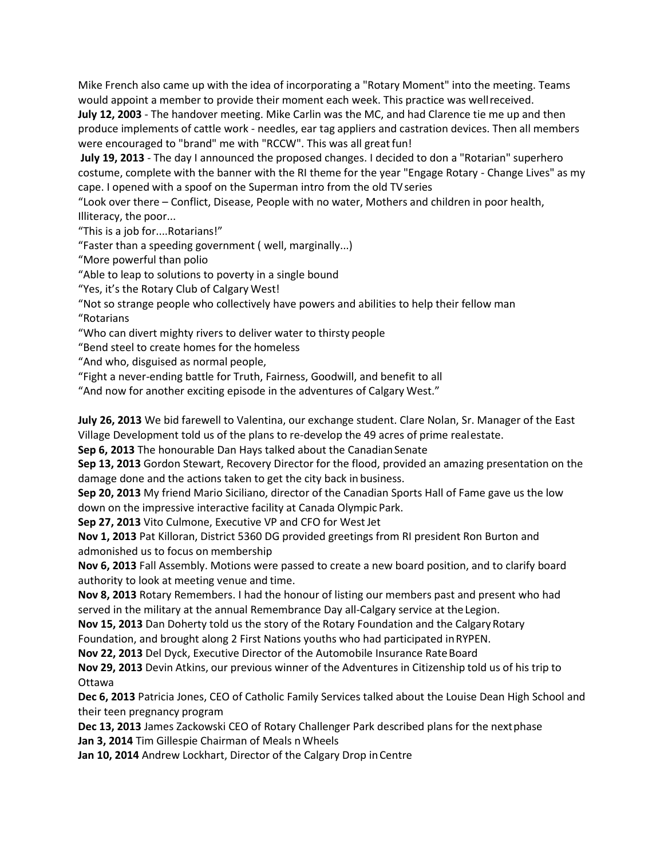Mike French also came up with the idea of incorporating a "Rotary Moment" into the meeting. Teams would appoint a member to provide their moment each week. This practice was wellreceived.

**July 12, 2003** - The handover meeting. Mike Carlin was the MC, and had Clarence tie me up and then produce implements of cattle work - needles, ear tag appliers and castration devices. Then all members were encouraged to "brand" me with "RCCW". This was all great fun!

**July 19, 2013** - The day I announced the proposed changes. I decided to don a "Rotarian" superhero costume, complete with the banner with the RI theme for the year "Engage Rotary - Change Lives" as my cape. I opened with a spoof on the Superman intro from the old TVseries

"Look over there – Conflict, Disease, People with no water, Mothers and children in poor health, Illiteracy, the poor...

"This is a job for....Rotarians!"

"Faster than a speeding government ( well, marginally...)

"More powerful than polio

"Able to leap to solutions to poverty in a single bound

"Yes, it's the Rotary Club of Calgary West!

"Not so strange people who collectively have powers and abilities to help their fellow man "Rotarians

"Who can divert mighty rivers to deliver water to thirsty people

"Bend steel to create homes for the homeless

"And who, disguised as normal people,

"Fight a never-ending battle for Truth, Fairness, Goodwill, and benefit to all

"And now for another exciting episode in the adventures of Calgary West."

**July 26, 2013** We bid farewell to Valentina, our exchange student. Clare Nolan, Sr. Manager of the East Village Development told us of the plans to re-develop the 49 acres of prime realestate.

**Sep 6, 2013** The honourable Dan Hays talked about the Canadian Senate

**Sep 13, 2013** Gordon Stewart, Recovery Director for the flood, provided an amazing presentation on the damage done and the actions taken to get the city back in business.

**Sep 20, 2013** My friend Mario Siciliano, director of the Canadian Sports Hall of Fame gave us the low down on the impressive interactive facility at Canada Olympic Park.

Sep 27, 2013 Vito Culmone, Executive VP and CFO for West Jet

**Nov 1, 2013** Pat Killoran, District 5360 DG provided greetings from RI president Ron Burton and admonished us to focus on membership

**Nov 6, 2013** Fall Assembly. Motions were passed to create a new board position, and to clarify board authority to look at meeting venue and time.

**Nov 8, 2013** Rotary Remembers. I had the honour of listing our members past and present who had served in the military at the annual Remembrance Day all-Calgary service at theLegion.

**Nov 15, 2013** Dan Doherty told us the story of the Rotary Foundation and the Calgary Rotary

Foundation, and brought along 2 First Nations youths who had participated inRYPEN.

**Nov 22, 2013** Del Dyck, Executive Director of the Automobile Insurance Rate Board

**Nov 29, 2013** Devin Atkins, our previous winner of the Adventures in Citizenship told us of his trip to Ottawa

**Dec 6, 2013** Patricia Jones, CEO of Catholic Family Services talked about the Louise Dean High School and their teen pregnancy program

**Dec 13, 2013** James Zackowski CEO of Rotary Challenger Park described plans for the nextphase **Jan 3, 2014** Tim Gillespie Chairman of Meals n Wheels

**Jan 10, 2014** Andrew Lockhart, Director of the Calgary Drop inCentre